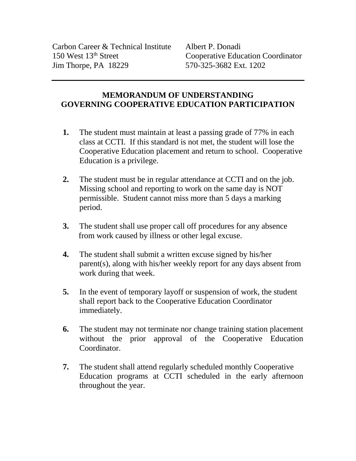## **MEMORANDUM OF UNDERSTANDING GOVERNING COOPERATIVE EDUCATION PARTICIPATION**

- **1.** The student must maintain at least a passing grade of 77% in each class at CCTI. If this standard is not met, the student will lose the Cooperative Education placement and return to school. Cooperative Education is a privilege.
- **2.** The student must be in regular attendance at CCTI and on the job. Missing school and reporting to work on the same day is NOT permissible. Student cannot miss more than 5 days a marking period.
- **3.** The student shall use proper call off procedures for any absence from work caused by illness or other legal excuse.
- **4.** The student shall submit a written excuse signed by his/her parent(s), along with his/her weekly report for any days absent from work during that week.
- **5.** In the event of temporary layoff or suspension of work, the student shall report back to the Cooperative Education Coordinator immediately.
- **6.** The student may not terminate nor change training station placement without the prior approval of the Cooperative Education Coordinator.
- **7.** The student shall attend regularly scheduled monthly Cooperative Education programs at CCTI scheduled in the early afternoon throughout the year.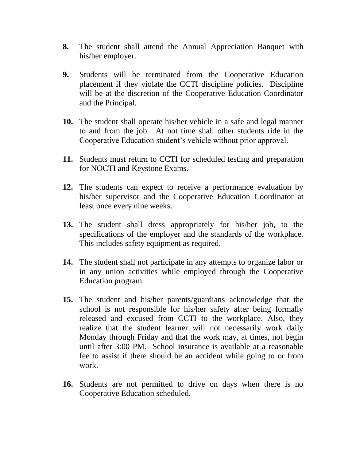- **8.** The student shall attend the Annual Appreciation Banquet with his/her employer.
- **9.** Students will be terminated from the Cooperative Education placement if they violate the CCTI discipline policies. Discipline will be at the discretion of the Cooperative Education Coordinator and the Principal.
- **10.** The student shall operate his/her vehicle in a safe and legal manner to and from the job. At not time shall other students ride in the Cooperative Education student's vehicle without prior approval.
- **11.** Students must return to CCTI for scheduled testing and preparation for NOCTI and Keystone Exams.
- **12.** The students can expect to receive a performance evaluation by his/her supervisor and the Cooperative Education Coordinator at least once every nine weeks.
- **13.** The student shall dress appropriately for his/her job, to the specifications of the employer and the standards of the workplace. This includes safety equipment as required.
- **14.** The student shall not participate in any attempts to organize labor or in any union activities while employed through the Cooperative Education program.
- **15.** The student and his/her parents/guardians acknowledge that the school is not responsible for his/her safety after being formally released and excused from CCTI to the workplace. Also, they realize that the student learner will not necessarily work daily Monday through Friday and that the work may, at times, not begin until after 3:00 PM. School insurance is available at a reasonable fee to assist if there should be an accident while going to or from work.
- **16.** Students are not permitted to drive on days when there is no Cooperative Education scheduled.